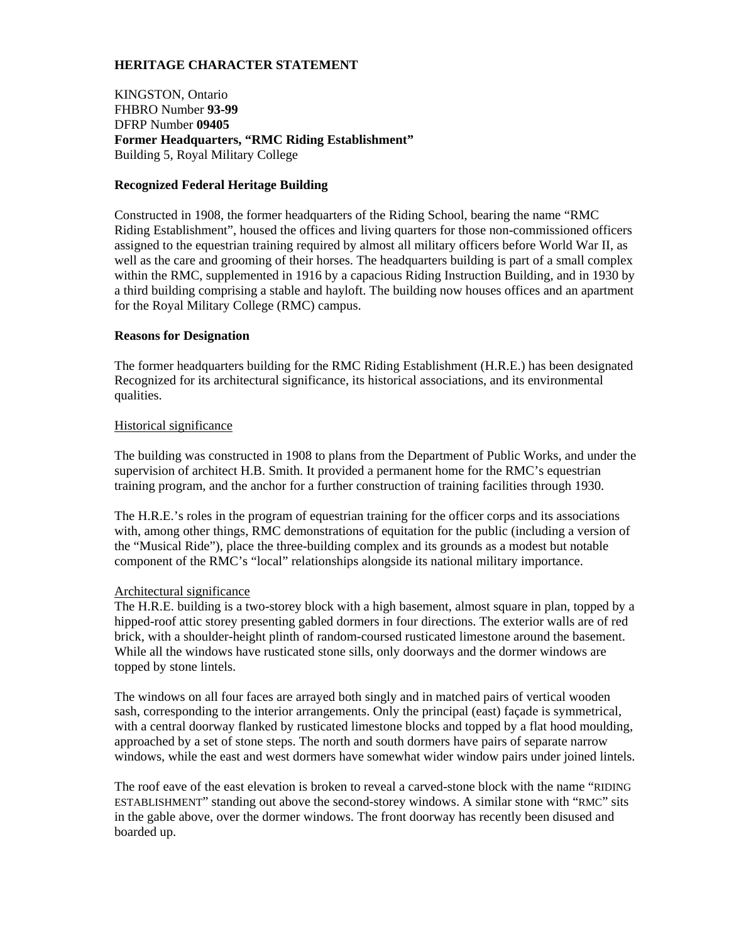# **HERITAGE CHARACTER STATEMENT**

KINGSTON, Ontario FHBRO Number **93-99**  DFRP Number **09405 Former Headquarters, "RMC Riding Establishment"** Building 5, Royal Military College

### **Recognized Federal Heritage Building**

Constructed in 1908, the former headquarters of the Riding School, bearing the name "RMC Riding Establishment", housed the offices and living quarters for those non-commissioned officers assigned to the equestrian training required by almost all military officers before World War II, as well as the care and grooming of their horses. The headquarters building is part of a small complex within the RMC, supplemented in 1916 by a capacious Riding Instruction Building, and in 1930 by a third building comprising a stable and hayloft. The building now houses offices and an apartment for the Royal Military College (RMC) campus.

#### **Reasons for Designation**

The former headquarters building for the RMC Riding Establishment (H.R.E.) has been designated Recognized for its architectural significance, its historical associations, and its environmental qualities.

#### Historical significance

The building was constructed in 1908 to plans from the Department of Public Works, and under the supervision of architect H.B. Smith. It provided a permanent home for the RMC's equestrian training program, and the anchor for a further construction of training facilities through 1930.

The H.R.E.'s roles in the program of equestrian training for the officer corps and its associations with, among other things, RMC demonstrations of equitation for the public (including a version of the "Musical Ride"), place the three-building complex and its grounds as a modest but notable component of the RMC's "local" relationships alongside its national military importance.

# Architectural significance

The H.R.E. building is a two-storey block with a high basement, almost square in plan, topped by a hipped-roof attic storey presenting gabled dormers in four directions. The exterior walls are of red brick, with a shoulder-height plinth of random-coursed rusticated limestone around the basement. While all the windows have rusticated stone sills, only doorways and the dormer windows are topped by stone lintels.

The windows on all four faces are arrayed both singly and in matched pairs of vertical wooden sash, corresponding to the interior arrangements. Only the principal (east) façade is symmetrical, with a central doorway flanked by rusticated limestone blocks and topped by a flat hood moulding, approached by a set of stone steps. The north and south dormers have pairs of separate narrow windows, while the east and west dormers have somewhat wider window pairs under joined lintels.

The roof eave of the east elevation is broken to reveal a carved-stone block with the name "RIDING ESTABLISHMENT" standing out above the second-storey windows. A similar stone with "RMC" sits in the gable above, over the dormer windows. The front doorway has recently been disused and boarded up.